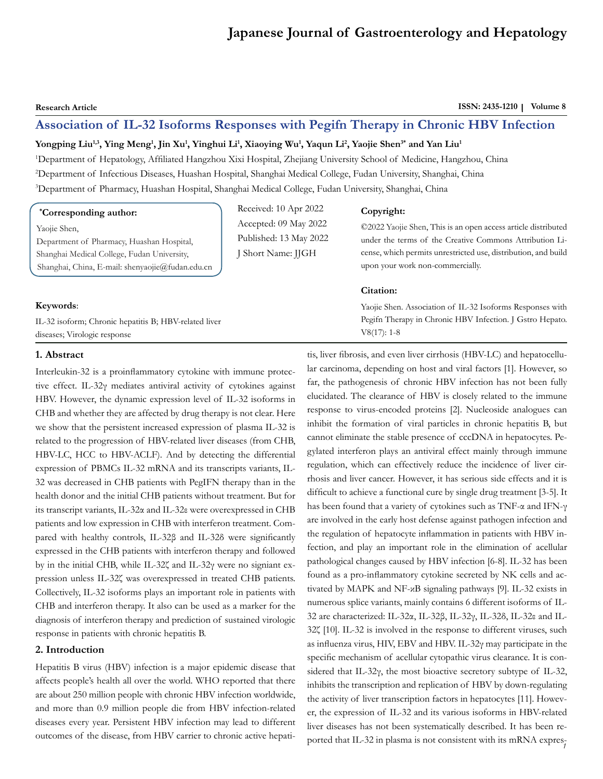# **Japanese Journal of Gastroenterology and Hepatology**

**Research Article** ISSN: 2435-1210 | Volume 8

# **Association of IL-32 Isoforms Responses with Pegifn Therapy in Chronic HBV Infection**

#### $Y$ ongping Liu<sup>1,3</sup>, Ying Meng<sup>1</sup>, Jin Xu<sup>1</sup>, Yinghui Li<sup>1</sup>, Xiaoying Wu<sup>1</sup>, Yaqun Li<sup>2</sup>, Yaojie Shen<sup>3\*</sup> and Yan Liu<sup>1</sup>

1 Department of Hepatology, Affiliated Hangzhou Xixi Hospital, Zhejiang University School of Medicine, Hangzhou, China 2 Department of Infectious Diseases, Huashan Hospital, Shanghai Medical College, Fudan University, Shanghai, China 3 Department of Pharmacy, Huashan Hospital, Shanghai Medical College, Fudan University, Shanghai, China

> Received: 10 Apr 2022 Accepted: 09 May 2022 Published: 13 May 2022 J Short Name: JJGH

#### **\* Corresponding author:**

Yaojie Shen,

Department of Pharmacy, Huashan Hospital, Shanghai Medical College, Fudan University, Shanghai, China, E-mail: shenyaojie@fudan.edu.cn

#### **Keywords**:

IL-32 isoform; Chronic hepatitis B; HBV-related liver diseases; Virologic response

#### **Copyright:**

©2022 Yaojie Shen, This is an open access article distributed under the terms of the Creative Commons Attribution License, which permits unrestricted use, distribution, and build upon your work non-commercially.

#### **Citation:**

Yaojie Shen. Association of IL-32 Isoforms Responses with Pegifn Therapy in Chronic HBV Infection. J Gstro Hepato. V8(17): 1-8

# **1. Abstract**

Interleukin-32 is a proinflammatory cytokine with immune protective effect. IL-32γ mediates antiviral activity of cytokines against HBV. However, the dynamic expression level of IL-32 isoforms in CHB and whether they are affected by drug therapy is not clear. Here we show that the persistent increased expression of plasma IL-32 is related to the progression of HBV-related liver diseases (from CHB, HBV-LC, HCC to HBV-ACLF). And by detecting the differential expression of PBMCs IL-32 mRNA and its transcripts variants, IL-32 was decreased in CHB patients with PegIFN therapy than in the health donor and the initial CHB patients without treatment. But for its transcript variants, IL-32α and IL-32ε were overexpressed in CHB patients and low expression in CHB with interferon treatment. Compared with healthy controls, IL-32β and IL-32δ were significantly expressed in the CHB patients with interferon therapy and followed by in the initial CHB, while IL-32ζ and IL-32γ were no signiant expression unless IL-32ζ was overexpressed in treated CHB patients. Collectively, IL-32 isoforms plays an important role in patients with CHB and interferon therapy. It also can be used as a marker for the diagnosis of interferon therapy and prediction of sustained virologic response in patients with chronic hepatitis B.

# **2. Introduction**

Hepatitis B virus (HBV) infection is a major epidemic disease that affects people's health all over the world. WHO reported that there are about 250 million people with chronic HBV infection worldwide, and more than 0.9 million people die from HBV infection-related diseases every year. Persistent HBV infection may lead to different outcomes of the disease, from HBV carrier to chronic active hepatiported that IL-32 in plasma is not consistent with its mRNA exprestis, liver fibrosis, and even liver cirrhosis (HBV-LC) and hepatocellular carcinoma, depending on host and viral factors [1]. However, so far, the pathogenesis of chronic HBV infection has not been fully elucidated. The clearance of HBV is closely related to the immune response to virus-encoded proteins [2]. Nucleoside analogues can inhibit the formation of viral particles in chronic hepatitis B, but cannot eliminate the stable presence of cccDNA in hepatocytes. Pegylated interferon plays an antiviral effect mainly through immune regulation, which can effectively reduce the incidence of liver cirrhosis and liver cancer. However, it has serious side effects and it is difficult to achieve a functional cure by single drug treatment [3-5]. It has been found that a variety of cytokines such as TNF-α and IFN-γ are involved in the early host defense against pathogen infection and the regulation of hepatocyte inflammation in patients with HBV infection, and play an important role in the elimination of acellular pathological changes caused by HBV infection [6-8]. IL-32 has been found as a pro-inflammatory cytokine secreted by NK cells and activated by MAPK and NF-κB signaling pathways [9]. IL-32 exists in numerous splice variants, mainly contains 6 different isoforms of IL-32 are characterized: IL-32α, IL-32β, IL-32γ, IL-32δ, IL-32ε and IL-32ζ [10]. IL-32 is involved in the response to different viruses, such as influenza virus, HIV, EBV and HBV. IL-32γ may participate in the specific mechanism of acellular cytopathic virus clearance. It is considered that IL-32γ, the most bioactive secretory subtype of IL-32, inhibits the transcription and replication of HBV by down-regulating the activity of liver transcription factors in hepatocytes [11]. However, the expression of IL-32 and its various isoforms in HBV-related liver diseases has not been systematically described. It has been re-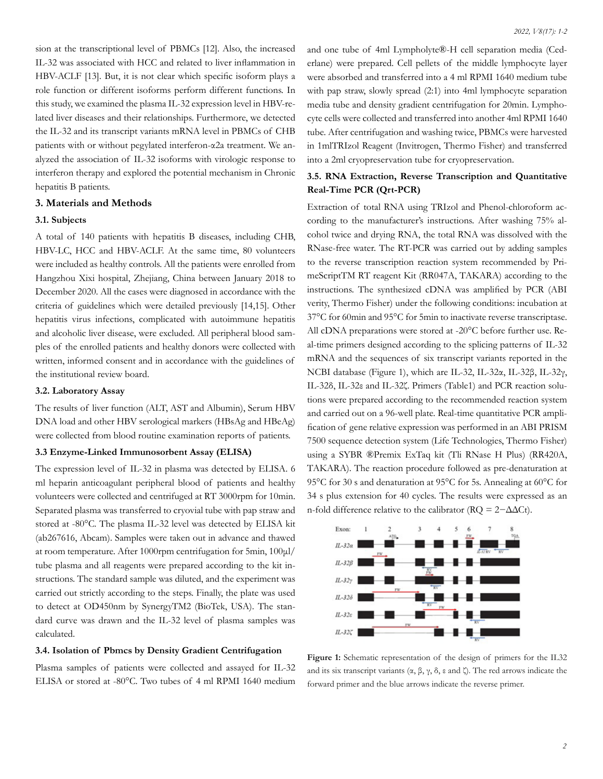sion at the transcriptional level of PBMCs [12]. Also, the increased IL-32 was associated with HCC and related to liver inflammation in HBV-ACLF [13]. But, it is not clear which specific isoform plays a role function or different isoforms perform different functions. In this study, we examined the plasma IL-32 expression level in HBV-related liver diseases and their relationships. Furthermore, we detected the IL-32 and its transcript variants mRNA level in PBMCs of CHB patients with or without pegylated interferon-α2a treatment. We analyzed the association of IL-32 isoforms with virologic response to interferon therapy and explored the potential mechanism in Chronic hepatitis B patients.

## **3. Materials and Methods**

#### **3.1. Subjects**

A total of 140 patients with hepatitis B diseases, including CHB, HBV-LC, HCC and HBV-ACLF. At the same time, 80 volunteers were included as healthy controls. All the patients were enrolled from Hangzhou Xixi hospital, Zhejiang, China between January 2018 to December 2020. All the cases were diagnosed in accordance with the criteria of guidelines which were detailed previously [14,15]. Other hepatitis virus infections, complicated with autoimmune hepatitis and alcoholic liver disease, were excluded. All peripheral blood samples of the enrolled patients and healthy donors were collected with written, informed consent and in accordance with the guidelines of the institutional review board.

#### **3.2. Laboratory Assay**

The results of liver function (ALT, AST and Albumin), Serum HBV DNA load and other HBV serological markers (HBsAg and HBeAg) were collected from blood routine examination reports of patients.

## **3.3 Enzyme-Linked Immunosorbent Assay (ELISA)**

The expression level of IL-32 in plasma was detected by ELISA. 6 ml heparin anticoagulant peripheral blood of patients and healthy volunteers were collected and centrifuged at RT 3000rpm for 10min. Separated plasma was transferred to cryovial tube with pap straw and stored at -80°C. The plasma IL-32 level was detected by ELISA kit (ab267616, Abcam). Samples were taken out in advance and thawed at room temperature. After 1000rpm centrifugation for 5min, 100μl/ tube plasma and all reagents were prepared according to the kit instructions. The standard sample was diluted, and the experiment was carried out strictly according to the steps. Finally, the plate was used to detect at OD450nm by SynergyTM2 (BioTek, USA). The standard curve was drawn and the IL-32 level of plasma samples was calculated.

## **3.4. Isolation of Pbmcs by Density Gradient Centrifugation**

Plasma samples of patients were collected and assayed for IL-32 ELISA or stored at -80°C. Two tubes of 4 ml RPMI 1640 medium

and one tube of 4ml Lympholyte®-H cell separation media (Cederlane) were prepared. Cell pellets of the middle lymphocyte layer were absorbed and transferred into a 4 ml RPMI 1640 medium tube with pap straw, slowly spread (2:1) into 4ml lymphocyte separation media tube and density gradient centrifugation for 20min. Lymphocyte cells were collected and transferred into another 4ml RPMI 1640 tube. After centrifugation and washing twice, PBMCs were harvested in 1mlTRIzol Reagent (Invitrogen, Thermo Fisher) and transferred into a 2ml cryopreservation tube for cryopreservation.

# **3.5. RNA Extraction, Reverse Transcription and Quantitative Real-Time PCR (Qrt-PCR)**

Extraction of total RNA using TRIzol and Phenol-chloroform according to the manufacturer's instructions. After washing 75% alcohol twice and drying RNA, the total RNA was dissolved with the RNase-free water. The RT-PCR was carried out by adding samples to the reverse transcription reaction system recommended by PrimeScriptTM RT reagent Kit (RR047A, TAKARA) according to the instructions. The synthesized cDNA was amplified by PCR (ABI verity, Thermo Fisher) under the following conditions: incubation at 37°C for 60min and 95°C for 5min to inactivate reverse transcriptase. All cDNA preparations were stored at -20°C before further use. Real-time primers designed according to the splicing patterns of IL-32 mRNA and the sequences of six transcript variants reported in the NCBI database (Figure 1), which are IL-32, IL-32α, IL-32β, IL-32γ, IL-32δ, IL-32ε and IL-32ζ. Primers (Table1) and PCR reaction solutions were prepared according to the recommended reaction system and carried out on a 96-well plate. Real-time quantitative PCR amplification of gene relative expression was performed in an ABI PRISM 7500 sequence detection system (Life Technologies, Thermo Fisher) using a SYBR ®Premix ExTaq kit (Tli RNase H Plus) (RR420A, TAKARA). The reaction procedure followed as pre-denaturation at 95°C for 30 s and denaturation at 95°C for 5s. Annealing at 60°C for 34 s plus extension for 40 cycles. The results were expressed as an n-fold difference relative to the calibrator ( $RQ = 2 - \Delta \Delta Ct$ ).



**Figure 1:** Schematic representation of the design of primers for the IL32 and its six transcript variants  $(\alpha, \beta, \gamma, \delta, \epsilon \text{ and } \zeta)$ . The red arrows indicate the forward primer and the blue arrows indicate the reverse primer.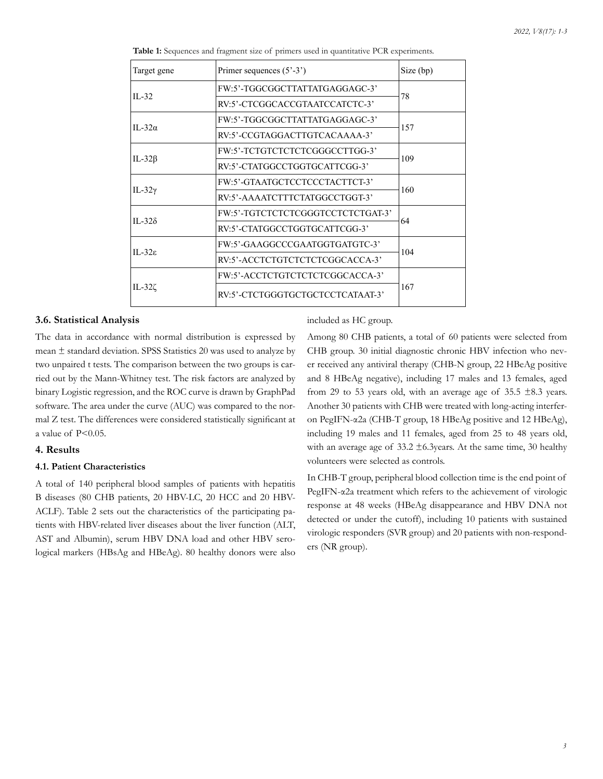| Target gene      | Primer sequences $(5^{\circ}-3^{\circ})$ | Size (bp) |  |
|------------------|------------------------------------------|-----------|--|
| $II - 32$        | FW:5'-TGGCGGCTTATTATGAGGAGC-3'           | 78        |  |
|                  | RV:5'-CTCGGCACCGTAATCCATCTC-3'           |           |  |
| II-32 $\alpha$   | FW:5'-TGGCGGCTTATTATGAGGAGC-3'           | 157       |  |
|                  | RV:5'-CCGTAGGACTTGTCACAAAA-3'            |           |  |
| IL-32 $\beta$    | FW:5'-TCTGTCTCTCTCGGGCCTTGG-3'           | 109       |  |
|                  | RV:5'-CTATGGCCTGGTGCATTCGG-3'            |           |  |
| IL-32 $\gamma$   | FW:5'-GTAATGCTCCTCCCTACTTCT-3'           | 160       |  |
|                  | RV:5'-AAAATCTTTCTATGGCCTGGT-3'           |           |  |
| $II - 32\delta$  | FW:5'-TGTCTCTCTCGGGTCCTCTCTGAT-3'        |           |  |
|                  | RV:5'-CTATGGCCTGGTGCATTCGG-3'            | 64        |  |
| II-32 $\epsilon$ | FW:5'-GAAGGCCCGAATGGTGATGTC-3'           |           |  |
|                  | RV:5'-ACCTCTGTCTCTCTCGGCACCA-3'          | 104       |  |
| IL-32 $\zeta$    | FW:5'-ACCTCTGTCTCTCTCGGCACCA-3'          |           |  |
|                  | RV:5'-CTCTGGGTGCTGCTCCTCATAAT-3'         | 167       |  |

**Table 1:** Sequences and fragment size of primers used in quantitative PCR experiments.

## **3.6. Statistical Analysis**

The data in accordance with normal distribution is expressed by mean ± standard deviation. SPSS Statistics 20 was used to analyze by two unpaired t tests. The comparison between the two groups is carried out by the Mann-Whitney test. The risk factors are analyzed by binary Logistic regression, and the ROC curve is drawn by GraphPad software. The area under the curve (AUC) was compared to the normal Z test. The differences were considered statistically significant at a value of P<0.05.

# **4. Results**

## **4.1. Patient Characteristics**

A total of 140 peripheral blood samples of patients with hepatitis B diseases (80 CHB patients, 20 HBV-LC, 20 HCC and 20 HBV-ACLF). Table 2 sets out the characteristics of the participating patients with HBV-related liver diseases about the liver function (ALT, AST and Albumin), serum HBV DNA load and other HBV serological markers (HBsAg and HBeAg). 80 healthy donors were also

# included as HC group.

Among 80 CHB patients, a total of 60 patients were selected from CHB group. 30 initial diagnostic chronic HBV infection who never received any antiviral therapy (CHB-N group, 22 HBeAg positive and 8 HBeAg negative), including 17 males and 13 females, aged from 29 to 53 years old, with an average age of  $35.5 \pm 8.3$  years. Another 30 patients with CHB were treated with long-acting interferon PegIFN-α2a (CHB-T group, 18 HBeAg positive and 12 HBeAg), including 19 males and 11 females, aged from 25 to 48 years old, with an average age of  $33.2 \pm 6.3$  years. At the same time, 30 healthy volunteers were selected as controls.

In CHB-T group, peripheral blood collection time is the end point of PegIFN-α2a treatment which refers to the achievement of virologic response at 48 weeks (HBeAg disappearance and HBV DNA not detected or under the cutoff), including 10 patients with sustained virologic responders (SVR group) and 20 patients with non-responders (NR group).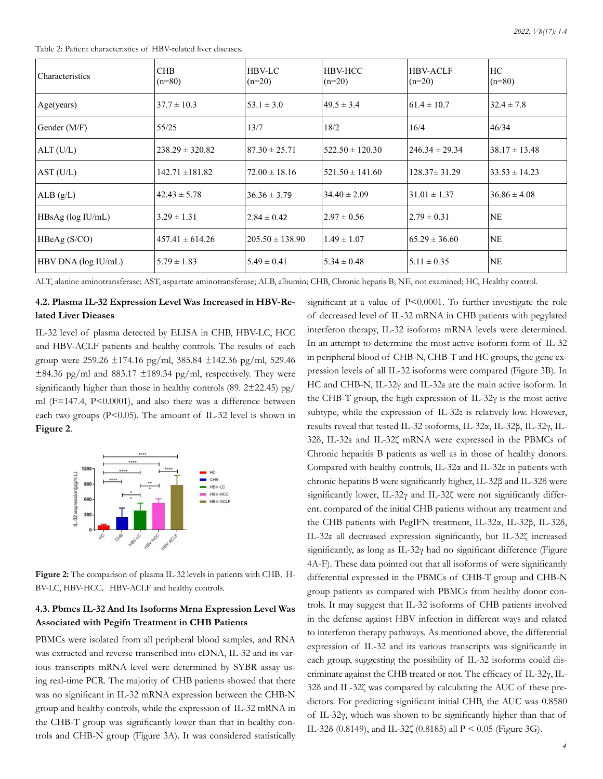Table 2: Patient characteristics of HBV-related liver diseases.

| Characteristics     | CHB<br>$(n=80)$     | <b>HBV-LC</b><br>$(n=20)$ | HBV-HCC <br>$(n=20)$ | HBV-ACLF<br>$(n=20)$ | HC<br>$(n=80)$    |
|---------------------|---------------------|---------------------------|----------------------|----------------------|-------------------|
| Age(years)          | $37.7 \pm 10.3$     | $53.1 \pm 3.0$            | $149.5 \pm 3.4$      | $61.4 \pm 10.7$      | $32.4 \pm 7.8$    |
| Gender (M/F)        | 55/25               | 13/7                      | 18/2                 | 16/4                 | 46/34             |
| ALT (U/L)           | $238.29 \pm 320.82$ | $87.30 \pm 25.71$         | $522.50 \pm 120.30$  | $1246.34 \pm 29.34$  | $38.17 \pm 13.48$ |
| AST (U/L)           | $142.71 \pm 181.82$ | $72.00 \pm 18.16$         | $521.50 \pm 141.60$  | $128.37 \pm 31.29$   | $33.53 \pm 14.23$ |
| ALB(g/L)            | $42.43 \pm 5.78$    | $36.36 \pm 3.79$          | $34.40 \pm 2.09$     | $31.01 \pm 1.37$     | $36.86 \pm 4.08$  |
| HBsAg (log IU/mL)   | $3.29 \pm 1.31$     | $2.84 \pm 0.42$           | $12.97 \pm 0.56$     | $12.79 \pm 0.31$     | <b>NE</b>         |
| HBeAg(S/CO)         | $457.41 \pm 614.26$ | $205.50 \pm 138.90$       | $1.49 \pm 1.07$      | $165.29 \pm 36.60$   | <b>NE</b>         |
| HBV DNA (log IU/mL) | $5.79 \pm 1.83$     | $5.49 \pm 0.41$           | $5.34 \pm 0.48$      | $5.11 \pm 0.35$      | <b>NE</b>         |

ALT, alanine aminotransferase; AST, aspartate aminotransferase; ALB, albumin; CHB, Chronic hepatis B; NE, not examined; HC, Healthy control.

# **4.2. Plasma IL-32 Expression Level Was Increased in HBV-Related Liver Dieases**

IL-32 level of plasma detected by ELISA in CHB, HBV-LC, HCC and HBV-ACLF patients and healthy controls. The results of each group were 259.26 ±174.16 pg/ml, 385.84 ±142.36 pg/ml, 529.46  $\pm$ 84.36 pg/ml and 883.17  $\pm$ 189.34 pg/ml, respectively. They were significantly higher than those in healthy controls (89. 2±22.45) pg/ ml (F=147.4, P<0.0001), and also there was a difference between each two groups (P<0.05). The amount of IL-32 level is shown in **Figure 2**.



Figure 2: The comparison of plasma IL-32 levels in patients with CHB, H-BV-LC, HBV-HCC, HBV-ACLF and healthy controls.

# **4.3. Pbmcs IL-32 And Its Isoforms Mrna Expression Level Was Associated with Pegifn Treatment in CHB Patients**

PBMCs were isolated from all peripheral blood samples, and RNA was extracted and reverse transcribed into cDNA, IL-32 and its various transcripts mRNA level were determined by SYBR assay using real-time PCR. The majority of CHB patients showed that there was no significant in IL-32 mRNA expression between the CHB-N group and healthy controls, while the expression of IL-32 mRNA in the CHB-T group was significantly lower than that in healthy controls and CHB-N group (Figure 3A). It was considered statistically significant at a value of P<0.0001. To further investigate the role of decreased level of IL-32 mRNA in CHB patients with pegylated interferon therapy, IL-32 isoforms mRNA levels were determined. In an attempt to determine the most active isoform form of IL-32 in peripheral blood of CHB-N, CHB-T and HC groups, the gene expression levels of all IL-32 isoforms were compared (Figure 3B). In HC and CHB-N, IL-32γ and IL-32ε are the main active isoform. In the CHB-T group, the high expression of IL-32 $\gamma$  is the most active subtype, while the expression of IL-32ε is relatively low. However, results reveal that tested IL-32 isoforms, IL-32α, IL-32β, IL-32γ, IL-32δ, IL-32ε and IL-32ζ mRNA were expressed in the PBMCs of Chronic hepatitis B patients as well as in those of healthy donors. Compared with healthy controls, IL-32α and IL-32ε in patients with chronic hepatitis B were significantly higher, IL-32β and IL-32δ were significantly lower, IL-32γ and IL-32ζ were not significantly different. compared of the initial CHB patients without any treatment and the CHB patients with PegIFN treatment, IL-32α, IL-32β, IL-32δ, IL-32ε all decreased expression significantly, but IL-32ζ increased significantly, as long as IL-32γ had no significant difference (Figure 4A-F). These data pointed out that all isoforms of were significantly differential expressed in the PBMCs of CHB-T group and CHB-N group patients as compared with PBMCs from healthy donor controls. It may suggest that IL-32 isoforms of CHB patients involved in the defense against HBV infection in different ways and related to interferon therapy pathways. As mentioned above, the differential expression of IL-32 and its various transcripts was significantly in each group, suggesting the possibility of IL-32 isoforms could discriminate against the CHB treated or not. The efficacy of IL-32γ, IL-32δ and IL-32ζ was compared by calculating the AUC of these predictors. For predicting significant initial CHB, the AUC was 0.8580 of IL-32γ, which was shown to be significantly higher than that of IL-32δ (0.8149), and IL-32ζ (0.8185) all P < 0.05 (Figure 3G).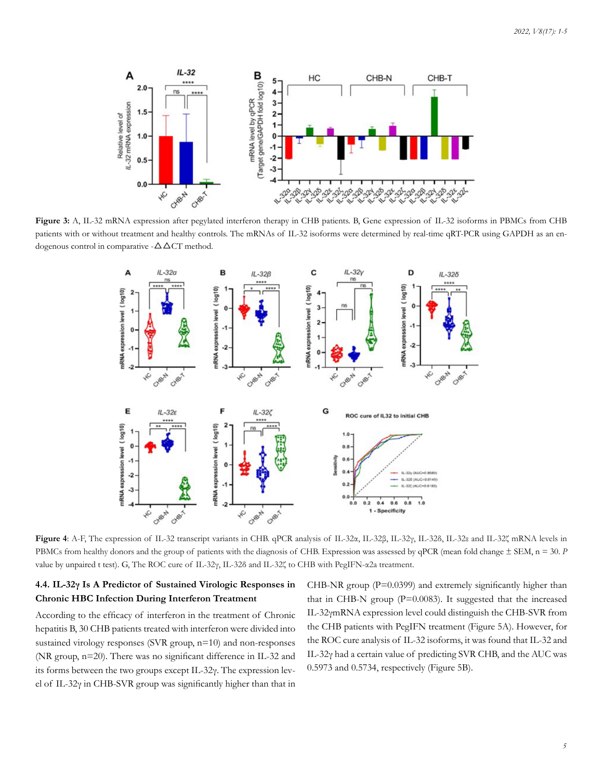

**Figure 3:** A, IL-32 mRNA expression after pegylated interferon therapy in CHB patients. B, Gene expression of IL-32 isoforms in PBMCs from CHB patients with or without treatment and healthy controls. The mRNAs of IL-32 isoforms were determined by real-time qRT-PCR using GAPDH as an endogenous control in comparative  $-\Delta \Delta CT$  method.



**Figure 4**: A-F, The expression of IL-32 transcript variants in CHB. qPCR analysis of IL-32α, IL-32β, IL-32γ, IL-32δ, IL-32ε and IL-32ζ mRNA levels in PBMCs from healthy donors and the group of patients with the diagnosis of CHB. Expression was assessed by qPCR (mean fold change  $\pm$  SEM, n = 30. *P* value by unpaired t test). G, The ROC cure of IL-32γ, IL-32δ and IL-32ζ to CHB with PegIFN-α2a treatment.

# **4.4. IL-32γ Is A Predictor of Sustained Virologic Responses in Chronic HBC Infection During Interferon Treatment**

According to the efficacy of interferon in the treatment of Chronic hepatitis B, 30 CHB patients treated with interferon were divided into sustained virology responses (SVR group, n=10) and non-responses (NR group, n=20). There was no significant difference in IL-32 and its forms between the two groups except IL-32γ. The expression level of IL-32γ in CHB-SVR group was significantly higher than that in CHB-NR group  $(P=0.0399)$  and extremely significantly higher than that in CHB-N group (P=0.0083). It suggested that the increased IL-32γmRNA expression level could distinguish the CHB-SVR from the CHB patients with PegIFN treatment (Figure 5A). However, for the ROC cure analysis of IL-32 isoforms, it was found that IL-32 and IL-32γ had a certain value of predicting SVR CHB, and the AUC was 0.5973 and 0.5734, respectively (Figure 5B).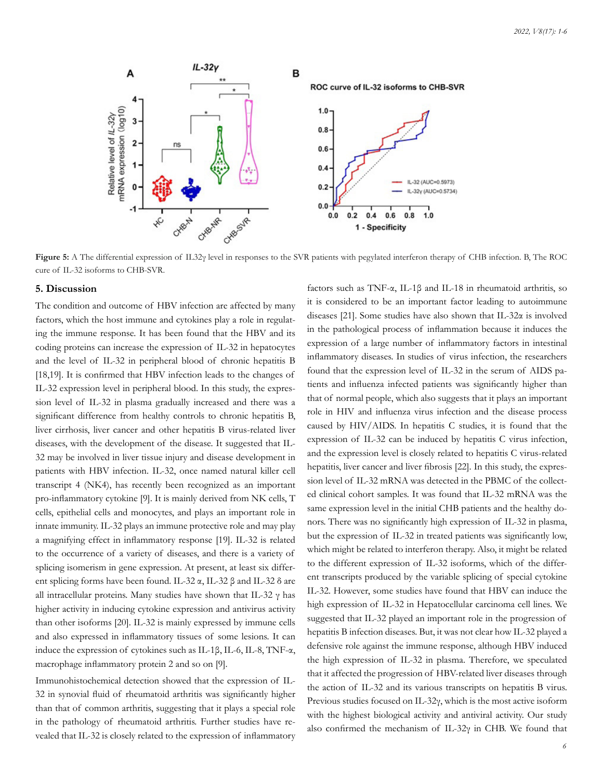

**Figure 5:** A The differential expression of IL32γ level in responses to the SVR patients with pegylated interferon therapy of CHB infection. B, The ROC cure of IL-32 isoforms to CHB-SVR.

#### **5. Discussion**

The condition and outcome of HBV infection are affected by many factors, which the host immune and cytokines play a role in regulating the immune response. It has been found that the HBV and its coding proteins can increase the expression of IL-32 in hepatocytes and the level of IL-32 in peripheral blood of chronic hepatitis B [18,19]. It is confirmed that HBV infection leads to the changes of IL-32 expression level in peripheral blood. In this study, the expression level of IL-32 in plasma gradually increased and there was a significant difference from healthy controls to chronic hepatitis B, liver cirrhosis, liver cancer and other hepatitis B virus-related liver diseases, with the development of the disease. It suggested that IL-32 may be involved in liver tissue injury and disease development in patients with HBV infection. IL-32, once named natural killer cell transcript 4 (NK4), has recently been recognized as an important pro-inflammatory cytokine [9]. It is mainly derived from NK cells, T cells, epithelial cells and monocytes, and plays an important role in innate immunity. IL-32 plays an immune protective role and may play a magnifying effect in inflammatory response [19]. IL-32 is related to the occurrence of a variety of diseases, and there is a variety of splicing isomerism in gene expression. At present, at least six different splicing forms have been found. IL-32 α, IL-32 β and IL-32 δ are all intracellular proteins. Many studies have shown that IL-32 γ has higher activity in inducing cytokine expression and antivirus activity than other isoforms [20]. IL-32 is mainly expressed by immune cells and also expressed in inflammatory tissues of some lesions. It can induce the expression of cytokines such as IL-1β, IL-6, IL-8, TNF-α, macrophage inflammatory protein 2 and so on [9].

Immunohistochemical detection showed that the expression of IL-32 in synovial fluid of rheumatoid arthritis was significantly higher than that of common arthritis, suggesting that it plays a special role in the pathology of rheumatoid arthritis. Further studies have revealed that IL-32 is closely related to the expression of inflammatory

factors such as TNF-α, IL-1β and IL-18 in rheumatoid arthritis, so it is considered to be an important factor leading to autoimmune diseases [21]. Some studies have also shown that IL-32 $\alpha$  is involved in the pathological process of inflammation because it induces the expression of a large number of inflammatory factors in intestinal inflammatory diseases. In studies of virus infection, the researchers found that the expression level of IL-32 in the serum of AIDS patients and influenza infected patients was significantly higher than that of normal people, which also suggests that it plays an important role in HIV and influenza virus infection and the disease process caused by HIV/AIDS. In hepatitis C studies, it is found that the expression of IL-32 can be induced by hepatitis C virus infection, and the expression level is closely related to hepatitis C virus-related hepatitis, liver cancer and liver fibrosis [22]. In this study, the expression level of IL-32 mRNA was detected in the PBMC of the collected clinical cohort samples. It was found that IL-32 mRNA was the same expression level in the initial CHB patients and the healthy donors. There was no significantly high expression of IL-32 in plasma, but the expression of IL-32 in treated patients was significantly low, which might be related to interferon therapy. Also, it might be related to the different expression of IL-32 isoforms, which of the different transcripts produced by the variable splicing of special cytokine IL-32. However, some studies have found that HBV can induce the high expression of IL-32 in Hepatocellular carcinoma cell lines. We suggested that IL-32 played an important role in the progression of hepatitis B infection diseases. But, it was not clear how IL-32 played a defensive role against the immune response, although HBV induced the high expression of IL-32 in plasma. Therefore, we speculated that it affected the progression of HBV-related liver diseases through the action of IL-32 and its various transcripts on hepatitis B virus. Previous studies focused on IL-32γ, which is the most active isoform with the highest biological activity and antiviral activity. Our study also confirmed the mechanism of IL-32 $\gamma$  in CHB. We found that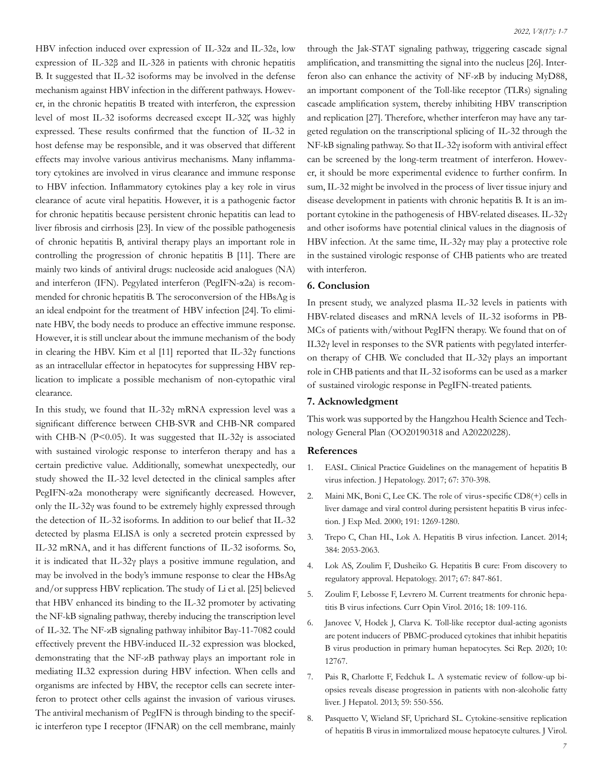HBV infection induced over expression of IL-32α and IL-32ε, low expression of IL-32β and IL-32δ in patients with chronic hepatitis B. It suggested that IL-32 isoforms may be involved in the defense mechanism against HBV infection in the different pathways. However, in the chronic hepatitis B treated with interferon, the expression level of most IL-32 isoforms decreased except IL-32ζ was highly expressed. These results confirmed that the function of IL-32 in host defense may be responsible, and it was observed that different effects may involve various antivirus mechanisms. Many inflammatory cytokines are involved in virus clearance and immune response to HBV infection. Inflammatory cytokines play a key role in virus clearance of acute viral hepatitis. However, it is a pathogenic factor for chronic hepatitis because persistent chronic hepatitis can lead to liver fibrosis and cirrhosis [23]. In view of the possible pathogenesis of chronic hepatitis B, antiviral therapy plays an important role in controlling the progression of chronic hepatitis B [11]. There are mainly two kinds of antiviral drugs: nucleoside acid analogues (NA) and interferon (IFN). Pegylated interferon (PegIFN-α2a) is recommended for chronic hepatitis B. The seroconversion of the HBsAg is an ideal endpoint for the treatment of HBV infection [24]. To eliminate HBV, the body needs to produce an effective immune response. However, it is still unclear about the immune mechanism of the body in clearing the HBV. Kim et al [11] reported that IL-32γ functions as an intracellular effector in hepatocytes for suppressing HBV replication to implicate a possible mechanism of non-cytopathic viral clearance.

In this study, we found that IL-32γ mRNA expression level was a significant difference between CHB-SVR and CHB-NR compared with CHB-N (P<0.05). It was suggested that IL-32 $\gamma$  is associated with sustained virologic response to interferon therapy and has a certain predictive value. Additionally, somewhat unexpectedly, our study showed the IL-32 level detected in the clinical samples after PegIFN-α2a monotherapy were significantly decreased. However, only the IL-32γ was found to be extremely highly expressed through the detection of IL-32 isoforms. In addition to our belief that IL-32 detected by plasma ELISA is only a secreted protein expressed by IL-32 mRNA, and it has different functions of IL-32 isoforms. So, it is indicated that IL-32γ plays a positive immune regulation, and may be involved in the body's immune response to clear the HBsAg and/or suppress HBV replication. The study of Li et al. [25] believed that HBV enhanced its binding to the IL-32 promoter by activating the NF-kB signaling pathway, thereby inducing the transcription level of IL-32. The NF-κB signaling pathway inhibitor Bay-11-7082 could effectively prevent the HBV-induced IL-32 expression was blocked, demonstrating that the NF-κB pathway plays an important role in mediating IL32 expression during HBV infection. When cells and organisms are infected by HBV, the receptor cells can secrete interferon to protect other cells against the invasion of various viruses. The antiviral mechanism of PegIFN is through binding to the specific interferon type I receptor (IFNAR) on the cell membrane, mainly

through the Jak-STAT signaling pathway, triggering cascade signal amplification, and transmitting the signal into the nucleus [26]. Interferon also can enhance the activity of NF-κB by inducing MyD88, an important component of the Toll-like receptor (TLRs) signaling cascade amplification system, thereby inhibiting HBV transcription and replication [27]. Therefore, whether interferon may have any targeted regulation on the transcriptional splicing of IL-32 through the NF-kB signaling pathway. So that IL-32γ isoform with antiviral effect can be screened by the long-term treatment of interferon. However, it should be more experimental evidence to further confirm. In sum, IL-32 might be involved in the process of liver tissue injury and disease development in patients with chronic hepatitis B. It is an important cytokine in the pathogenesis of HBV-related diseases. IL-32γ and other isoforms have potential clinical values in the diagnosis of HBV infection. At the same time, IL-32γ may play a protective role in the sustained virologic response of CHB patients who are treated with interferon.

# **6. Conclusion**

In present study, we analyzed plasma IL-32 levels in patients with HBV-related diseases and mRNA levels of IL-32 isoforms in PB-MCs of patients with/without PegIFN therapy. We found that on of IL32γ level in responses to the SVR patients with pegylated interferon therapy of CHB. We concluded that IL-32γ plays an important role in CHB patients and that IL-32 isoforms can be used as a marker of sustained virologic response in PegIFN-treated patients.

#### **7. Acknowledgment**

This work was supported by the Hangzhou Health Science and Technology General Plan (OO20190318 and A20220228).

#### **References**

- 1. [EASL. Clinical Practice Guidelines on the management of hepatitis B](https://pubmed.ncbi.nlm.nih.gov/28427875/) [virus infection. J Hepatology. 2017; 67: 370-398.](https://pubmed.ncbi.nlm.nih.gov/28427875/)
- 2. Maini MK, Boni C, Lee CK. The role of virus-specific CD8(+) cells in liver damage and viral control during persistent hepatitis B virus infection. J Exp Med. 2000; 191: 1269-1280.
- 3. [Trepo C, Chan HL, Lok A. Hepatitis B virus infection. Lancet. 2014;](https://pubmed.ncbi.nlm.nih.gov/24954675/) [384: 2053-2063.](https://pubmed.ncbi.nlm.nih.gov/24954675/)
- 4. [Lok AS, Zoulim F, Dusheiko G. Hepatitis B cure: From discovery to](https://pubmed.ncbi.nlm.nih.gov/28778687/)  [regulatory approval. Hepatology. 2017; 67: 847-861.](https://pubmed.ncbi.nlm.nih.gov/28778687/)
- 5. [Zoulim F, Lebosse F, Levrero M. Current treatments for chronic hepa](https://pubmed.ncbi.nlm.nih.gov/27318098/)[titis B virus infections. Curr Opin Virol. 2016; 18: 109-116.](https://pubmed.ncbi.nlm.nih.gov/27318098/)
- 6. [Janovec V, Hodek J, Clarva K. Toll-like receptor dual-acting agonists](https://pubmed.ncbi.nlm.nih.gov/32728070/) [are potent inducers of PBMC-produced cytokines that inhibit hepatitis](https://pubmed.ncbi.nlm.nih.gov/32728070/) [B virus production in primary human hepatocytes. Sci Rep. 2020; 10:](https://pubmed.ncbi.nlm.nih.gov/32728070/) [12767.](https://pubmed.ncbi.nlm.nih.gov/32728070/)
- 7. [Pais R, Charlotte F, Fedchuk L. A systematic review of follow-up bi](https://pubmed.ncbi.nlm.nih.gov/23665288/)[opsies reveals disease progression in patients with non-alcoholic fatty](https://pubmed.ncbi.nlm.nih.gov/23665288/) [liver. J Hepatol. 2013; 59: 550-556.](https://pubmed.ncbi.nlm.nih.gov/23665288/)
- 8. [Pasquetto V, Wieland SF, Uprichard SL. Cytokine-sensitive replication](https://www.ncbi.nlm.nih.gov/pmc/articles/PMC137053/)  [of hepatitis B virus in immortalized mouse hepatocyte cultures. J Virol.](https://www.ncbi.nlm.nih.gov/pmc/articles/PMC137053/)